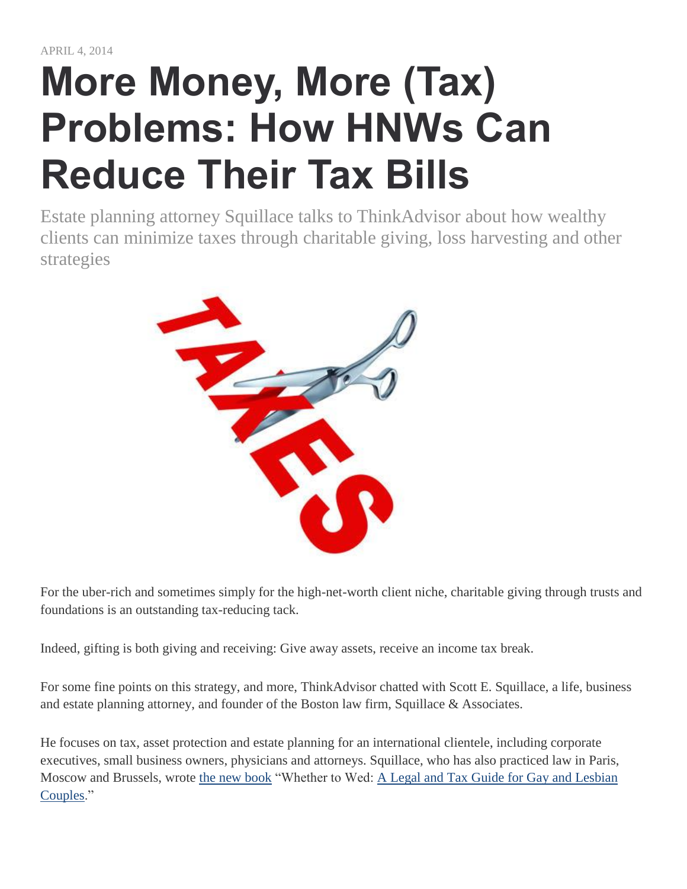# **More Money, More (Tax) Problems: How HNWs Can Reduce Their Tax Bills**

Estate planning attorney Squillace talks to ThinkAdvisor about how wealthy clients can minimize taxes through charitable giving, loss harvesting and other strategies



For the uber-rich and sometimes simply for the high-net-worth client niche, charitable giving through trusts and foundations is an outstanding tax-reducing tack.

Indeed, gifting is both giving and receiving: Give away assets, receive an income tax break.

For some fine points on this strategy, and more, ThinkAdvisor chatted with Scott E. Squillace, a life, business and estate planning attorney, and founder of the Boston law firm, Squillace & Associates.

He focuses on tax, asset protection and estate planning for an international clientele, including corporate executives, small business owners, physicians and attorneys. Squillace, who has also practiced law in Paris, Moscow and Brussels, wrote [the new book](http://whether-to-wed.com/) "Whether to Wed: [A Legal and Tax Guide for Gay and Lesbian](http://gayestateplanning.com/)  [Couples.](http://gayestateplanning.com/)"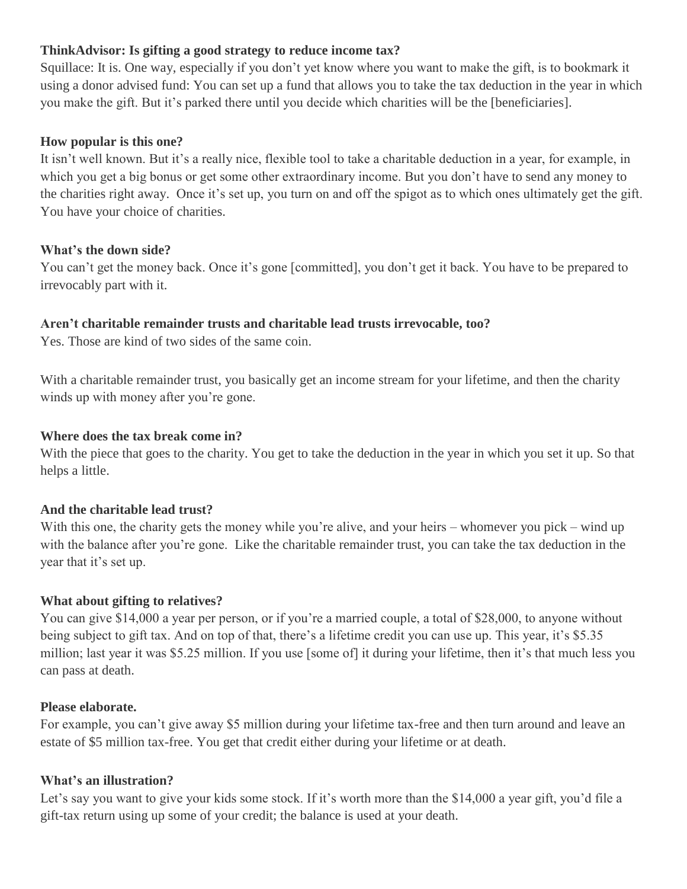## **ThinkAdvisor: Is gifting a good strategy to reduce income tax?**

Squillace: It is. One way, especially if you don't yet know where you want to make the gift, is to bookmark it using a donor advised fund: You can set up a fund that allows you to take the tax deduction in the year in which you make the gift. But it's parked there until you decide which charities will be the [beneficiaries].

## **How popular is this one?**

It isn't well known. But it's a really nice, flexible tool to take a charitable deduction in a year, for example, in which you get a big bonus or get some other extraordinary income. But you don't have to send any money to the charities right away. Once it's set up, you turn on and off the spigot as to which ones ultimately get the gift. You have your choice of charities.

### **What's the down side?**

You can't get the money back. Once it's gone [committed], you don't get it back. You have to be prepared to irrevocably part with it.

## **Aren't charitable remainder trusts and charitable lead trusts irrevocable, too?**

Yes. Those are kind of two sides of the same coin.

With a charitable remainder trust, you basically get an income stream for your lifetime, and then the charity winds up with money after you're gone.

## **Where does the tax break come in?**

With the piece that goes to the charity. You get to take the deduction in the year in which you set it up. So that helps a little.

## **And the charitable lead trust?**

With this one, the charity gets the money while you're alive, and your heirs – whomever you pick – wind up with the balance after you're gone. Like the charitable remainder trust, you can take the tax deduction in the year that it's set up.

## **What about gifting to relatives?**

You can give \$14,000 a year per person, or if you're a married couple, a total of \$28,000, to anyone without being subject to gift tax. And on top of that, there's a lifetime credit you can use up. This year, it's \$5.35 million; last year it was \$5.25 million. If you use [some of] it during your lifetime, then it's that much less you can pass at death.

#### **Please elaborate.**

For example, you can't give away \$5 million during your lifetime tax-free and then turn around and leave an estate of \$5 million tax-free. You get that credit either during your lifetime or at death.

#### **What's an illustration?**

Let's say you want to give your kids some stock. If it's worth more than the \$14,000 a year gift, you'd file a gift-tax return using up some of your credit; the balance is used at your death.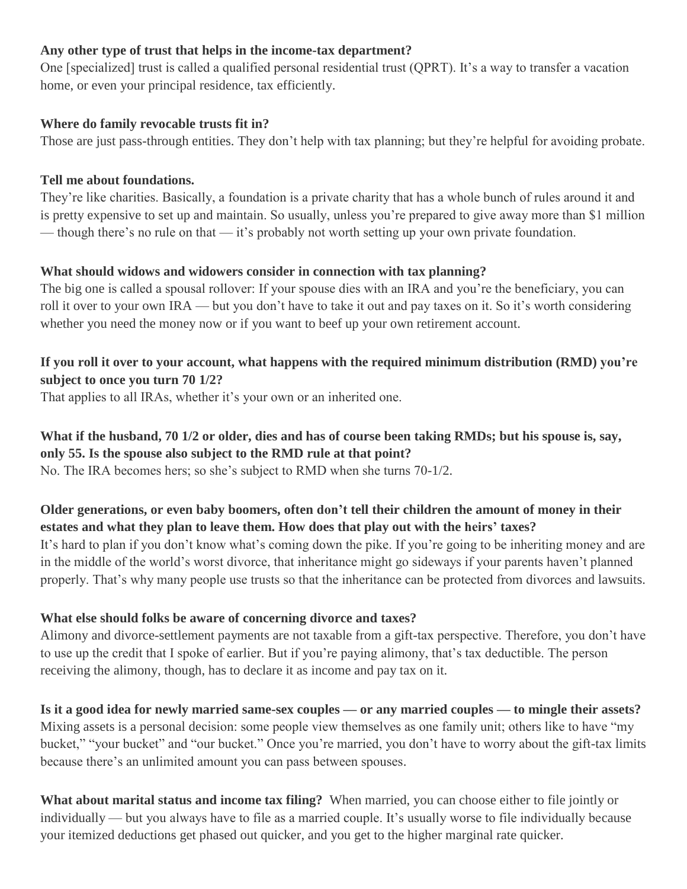## **Any other type of trust that helps in the income-tax department?**

One [specialized] trust is called a qualified personal residential trust (QPRT). It's a way to transfer a vacation home, or even your principal residence, tax efficiently.

## **Where do family revocable trusts fit in?**

Those are just pass-through entities. They don't help with tax planning; but they're helpful for avoiding probate.

## **Tell me about foundations.**

They're like charities. Basically, a foundation is a private charity that has a whole bunch of rules around it and is pretty expensive to set up and maintain. So usually, unless you're prepared to give away more than \$1 million — though there's no rule on that — it's probably not worth setting up your own private foundation.

# **What should widows and widowers consider in connection with tax planning?**

The big one is called a spousal rollover: If your spouse dies with an IRA and you're the beneficiary, you can roll it over to your own IRA — but you don't have to take it out and pay taxes on it. So it's worth considering whether you need the money now or if you want to beef up your own retirement account.

# **If you roll it over to your account, what happens with the required minimum distribution (RMD) you're subject to once you turn 70 1/2?**

That applies to all IRAs, whether it's your own or an inherited one.

## What if the husband, 70 1/2 or older, dies and has of course been taking RMDs; but his spouse is, say, **only 55. Is the spouse also subject to the RMD rule at that point?**

No. The IRA becomes hers; so she's subject to RMD when she turns 70-1/2.

# **Older generations, or even baby boomers, often don't tell their children the amount of money in their estates and what they plan to leave them. How does that play out with the heirs' taxes?**

It's hard to plan if you don't know what's coming down the pike. If you're going to be inheriting money and are in the middle of the world's worst divorce, that inheritance might go sideways if your parents haven't planned properly. That's why many people use trusts so that the inheritance can be protected from divorces and lawsuits.

# **What else should folks be aware of concerning divorce and taxes?**

Alimony and divorce-settlement payments are not taxable from a gift-tax perspective. Therefore, you don't have to use up the credit that I spoke of earlier. But if you're paying alimony, that's tax deductible. The person receiving the alimony, though, has to declare it as income and pay tax on it.

Is it a good idea for newly married same-sex couples — or any married couples — to mingle their assets? Mixing assets is a personal decision: some people view themselves as one family unit; others like to have "my bucket," "your bucket" and "our bucket." Once you're married, you don't have to worry about the gift-tax limits because there's an unlimited amount you can pass between spouses.

**What about marital status and income tax filing?** When married, you can choose either to file jointly or individually — but you always have to file as a married couple. It's usually worse to file individually because your itemized deductions get phased out quicker, and you get to the higher marginal rate quicker.